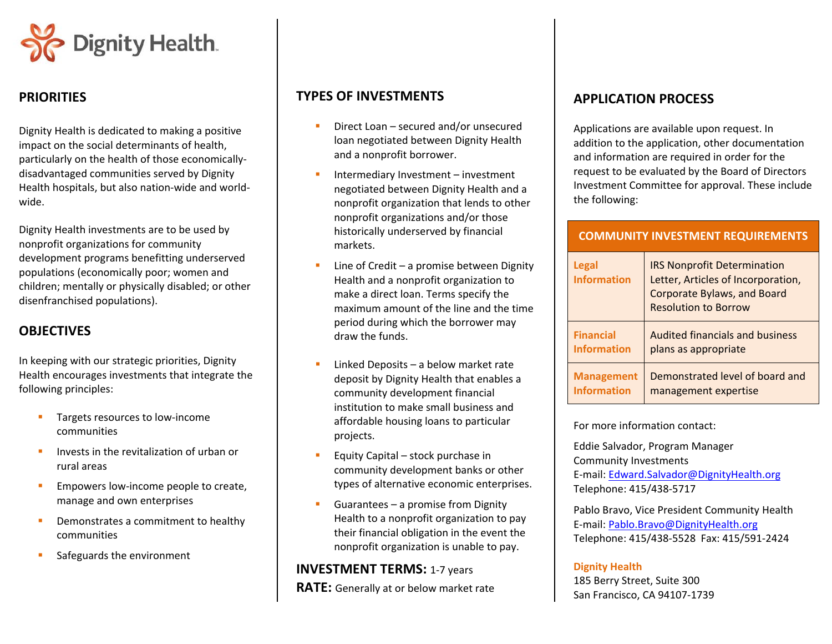

## **PRIORITIES**

Dignity Health is dedicated to making <sup>a</sup> positive impact on the social determinants of health, particularly on the health of those economically‐ disadvantaged communities served by Dignity Health hospitals, but also nation‐wide and world‐ wide.

Dignity Health investments are to be used by nonprofit organizations for community development programs benefitting underserved populations (economically poor; women and children; mentally or physically disabled; or other disenfranchised populations).

# **OBJECTIVES**

In keeping with our strategic priorities, Dignity Health encourages investments that integrate the following principles:

- $\mathcal{L}_{\mathcal{A}}$  Targets resources to low‐income communities
- $\mathbf{u}$ **IDUA** Invests in the revitalization of urban or rural areas
- $\blacksquare$  Empowers low‐income people to create, manage and own enterprises
- $\mathbf{r}$ **•** Demonstrates a commitment to healthy communities
- $\mathbf{r}$ Safeguards the environment

# **TYPES OF INVESTMENTS**

- Г **•** Direct Loan – secured and/or unsecured loan negotiated between Dignity Health and <sup>a</sup> nonprofit borrower.
- L **Intermediary Investment – investment** negotiated between Dignity Health and <sup>a</sup> nonprofit organization that lends to other nonprofit organizations and/or those historically underserved by financial markets.
- Г ■ Line of Credit – a promise between Dignity Health and <sup>a</sup> nonprofit organization to make <sup>a</sup> direct loan. Terms specify the maximum amount of the line and the time period during which the borrower may draw the funds.
- П ■ Linked Deposits – a below market rate deposit by Dignity Health that enables <sup>a</sup> community development financial institution to make small business and affordable housing loans to particular projects.
- $\blacksquare$ **Equity Capital – stock purchase in** community development banks or other types of alternative economic enterprises.
- Guarantees a promise from Dignity Health to <sup>a</sup> nonprofit organization to pay their financial obligation in the event the nonprofit organization is unable to pay.

## **INVESTMENT TERMS:** 1‐7 years

**RATE:** Generally at or below market rate

# **APPLICATION PROCESS**

Applications are available upon request. In addition to the application, other documentation and information are required in order for the request to be evaluated by the Board of Directors Investment Committee for approval. These include the following:

### **COMMUNITY INVESTMENT REQUIREMENTS**

| Legal<br><b>Information</b> | <b>IRS Nonprofit Determination</b><br>Letter, Articles of Incorporation,<br><b>Corporate Bylaws, and Board</b><br><b>Resolution to Borrow</b> |
|-----------------------------|-----------------------------------------------------------------------------------------------------------------------------------------------|
| <b>Financial</b>            | <b>Audited financials and business</b>                                                                                                        |
| <b>Information</b>          | plans as appropriate                                                                                                                          |
| <b>Management</b>           | Demonstrated level of board and                                                                                                               |
| <b>Information</b>          | management expertise                                                                                                                          |

For more information contact:

Eddie Salvador, Program Manager Community InvestmentsE-mail: [Edward.Salvador@DignityHealth.org](mailto:Edward.Salvador@DignityHealth.org)Telephone: 415/438-5717

Pablo Bravo, Vice President Community Health E-mail: <u>Pablo.Bravo@DignityHealth.org</u> Telephone: 415/438‐5528 Fax: 415/591‐2424

#### **Dignity Health**

185 Berry Street, Suite 300 San Francisco, CA 94107‐1739